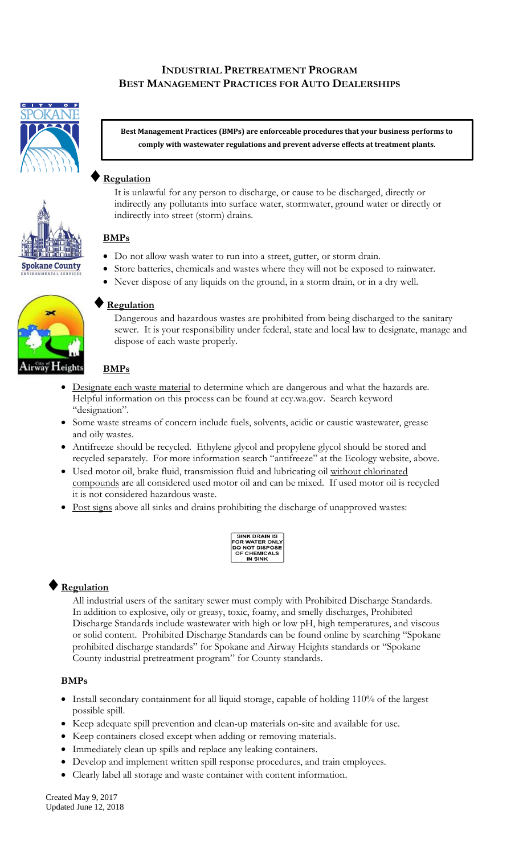## **INDUSTRIAL PRETREATMENT PROGRAM BEST MANAGEMENT PRACTICES FOR AUTO DEALERSHIPS**



**Best Management Practices (BMPs) are enforceable procedures that your business performs to comply with wastewater regulations and prevent adverse effects at treatment plants.**

### **Regulation**

It is unlawful for any person to discharge, or cause to be discharged, directly or indirectly any pollutants into surface water, stormwater, ground water or directly or indirectly into street (storm) drains.

#### **BMPs**

- Do not allow wash water to run into a street, gutter, or storm drain.
- Store batteries, chemicals and wastes where they will not be exposed to rainwater.
- Never dispose of any liquids on the ground, in a storm drain, or in a dry well.



**Spokane County** 

#### **Regulation**

Dangerous and hazardous wastes are prohibited from being discharged to the sanitary sewer. It is your responsibility under federal, state and local law to designate, manage and dispose of each waste properly.

#### **BMPs**

- Designate each waste material to determine which are dangerous and what the hazards are. Helpful information on this process can be found at ecy.wa.gov. Search keyword "designation".
- Some waste streams of concern include fuels, solvents, acidic or caustic wastewater, grease and oily wastes.
- Antifreeze should be recycled. Ethylene glycol and propylene glycol should be stored and recycled separately. For more information search "antifreeze" at the Ecology website, above.
- Used motor oil, brake fluid, transmission fluid and lubricating oil without chlorinated compounds are all considered used motor oil and can be mixed. If used motor oil is recycled it is not considered hazardous waste.
- Post signs above all sinks and drains prohibiting the discharge of unapproved wastes:

| <b>SINK DRAIN IS</b>  |  |  |
|-----------------------|--|--|
| FOR WATER ONLY        |  |  |
| <b>DO NOT DISPOSE</b> |  |  |
| OF CHEMICALS          |  |  |
| IN SINK               |  |  |

## **Regulation**

All industrial users of the sanitary sewer must comply with Prohibited Discharge Standards. In addition to explosive, oily or greasy, toxic, foamy, and smelly discharges, Prohibited Discharge Standards include wastewater with high or low pH, high temperatures, and viscous or solid content. Prohibited Discharge Standards can be found online by searching "Spokane prohibited discharge standards" for Spokane and Airway Heights standards or "Spokane County industrial pretreatment program" for County standards.

#### **BMPs**

- Install secondary containment for all liquid storage, capable of holding 110% of the largest possible spill.
- Keep adequate spill prevention and clean-up materials on-site and available for use.
- Keep containers closed except when adding or removing materials.
- Immediately clean up spills and replace any leaking containers.
- Develop and implement written spill response procedures, and train employees.
- Clearly label all storage and waste container with content information.

Created May 9, 2017 Updated June 12, 2018